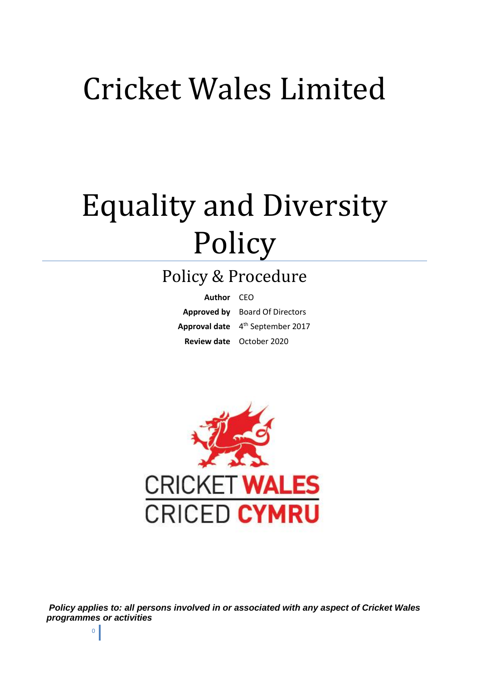## Cricket Wales Limited

# Equality and Diversity Policy

### Policy & Procedure

| Author CEO |                                              |
|------------|----------------------------------------------|
|            | <b>Approved by</b> Board Of Directors        |
|            | Approval date 4 <sup>th</sup> September 2017 |
|            | Review date October 2020                     |



*Policy applies to: all persons involved in or associated with any aspect of Cricket Wales programmes or activities*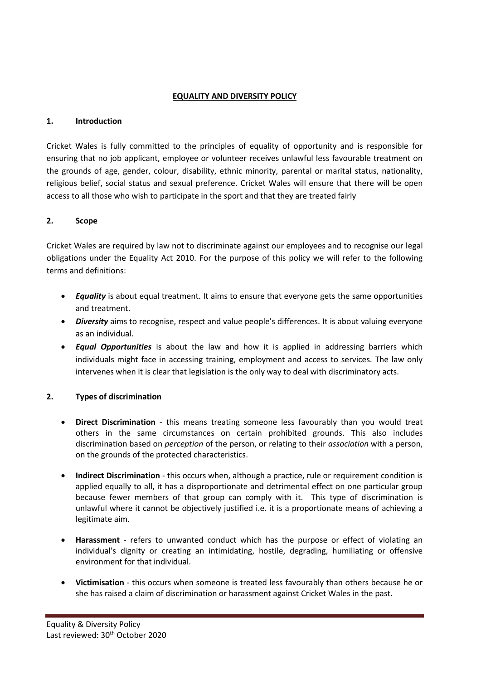#### **EQUALITY AND DIVERSITY POLICY**

#### **1. Introduction**

Cricket Wales is fully committed to the principles of equality of opportunity and is responsible for ensuring that no job applicant, employee or volunteer receives unlawful less favourable treatment on the grounds of age, gender, colour, disability, ethnic minority, parental or marital status, nationality, religious belief, social status and sexual preference. Cricket Wales will ensure that there will be open access to all those who wish to participate in the sport and that they are treated fairly

#### **2. Scope**

Cricket Wales are required by law not to discriminate against our employees and to recognise our legal obligations under the Equality Act 2010. For the purpose of this policy we will refer to the following terms and definitions:

- *Equality* is about equal treatment. It aims to ensure that everyone gets the same opportunities and treatment.
- *Diversity* aims to recognise, respect and value people's differences. It is about valuing everyone as an individual.
- *Equal Opportunities* is about the law and how it is applied in addressing barriers which individuals might face in accessing training, employment and access to services. The law only intervenes when it is clear that legislation is the only way to deal with discriminatory acts.

#### **2. Types of discrimination**

- **Direct Discrimination** this means treating someone less favourably than you would treat others in the same circumstances on certain prohibited grounds. This also includes discrimination based on *perception* of the person, or relating to their *association* with a person, on the grounds of the protected characteristics.
- **Indirect Discrimination** this occurs when, although a practice, rule or requirement condition is applied equally to all, it has a disproportionate and detrimental effect on one particular group because fewer members of that group can comply with it. This type of discrimination is unlawful where it cannot be objectively justified i.e. it is a proportionate means of achieving a legitimate aim.
- **Harassment** refers to unwanted conduct which has the purpose or effect of violating an individual's dignity or creating an intimidating, hostile, degrading, humiliating or offensive environment for that individual.
- **Victimisation** this occurs when someone is treated less favourably than others because he or she has raised a claim of discrimination or harassment against Cricket Wales in the past.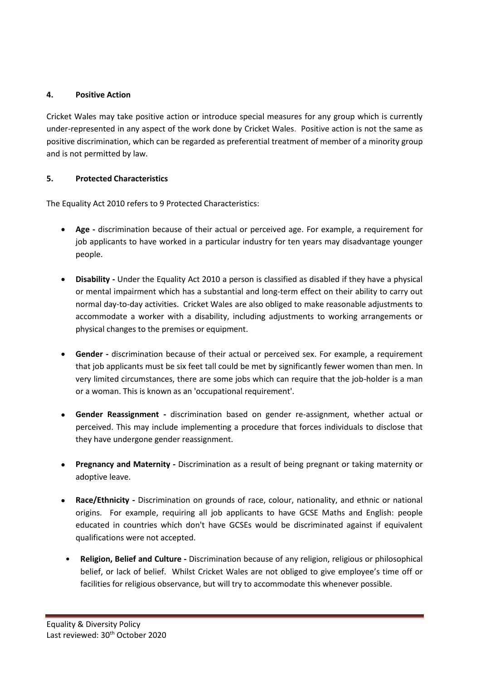#### **4. Positive Action**

Cricket Wales may take positive action or introduce special measures for any group which is currently under-represented in any aspect of the work done by Cricket Wales. Positive action is not the same as positive discrimination, which can be regarded as preferential treatment of member of a minority group and is not permitted by law.

#### **5. Protected Characteristics**

The Equality Act 2010 refers to 9 Protected Characteristics:

- **Age -** discrimination because of their actual or perceived age. For example, a requirement for job applicants to have worked in a particular industry for ten years may disadvantage younger people.
- **Disability -** Under the Equality Act 2010 a person is classified as disabled if they have a physical or mental impairment which has a substantial and long-term effect on their ability to carry out normal day-to-day activities. Cricket Wales are also obliged to make reasonable adjustments to accommodate a worker with a disability, including adjustments to working arrangements or physical changes to the premises or equipment.
- **Gender -** discrimination because of their actual or perceived sex. For example, a requirement that job applicants must be six feet tall could be met by significantly fewer women than men. In very limited circumstances, there are some jobs which can require that the job-holder is a man or a woman. This is known as an 'occupational requirement'.
- **Gender Reassignment -** discrimination based on gender re-assignment, whether actual or perceived. This may include implementing a procedure that forces individuals to disclose that they have undergone gender reassignment.
- **Pregnancy and Maternity -** Discrimination as a result of being pregnant or taking maternity or adoptive leave.
- **Race/Ethnicity -** Discrimination on grounds of race, colour, nationality, and ethnic or national origins. For example, requiring all job applicants to have GCSE Maths and English: people educated in countries which don't have GCSEs would be discriminated against if equivalent qualifications were not accepted.
- **Religion, Belief and Culture -** Discrimination because of any religion, religious or philosophical belief, or lack of belief. Whilst Cricket Wales are not obliged to give employee's time off or facilities for religious observance, but will try to accommodate this whenever possible.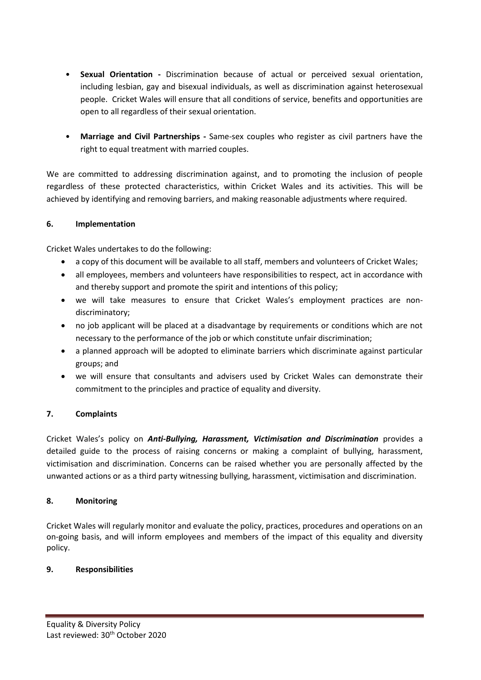- **Sexual Orientation -** Discrimination because of actual or perceived sexual orientation, including lesbian, gay and bisexual individuals, as well as discrimination against heterosexual people. Cricket Wales will ensure that all conditions of service, benefits and opportunities are open to all regardless of their sexual orientation.
- **Marriage and Civil Partnerships -** Same-sex couples who register as civil partners have the right to equal treatment with married couples.

We are committed to addressing discrimination against, and to promoting the inclusion of people regardless of these protected characteristics, within Cricket Wales and its activities. This will be achieved by identifying and removing barriers, and making reasonable adjustments where required.

#### **6. Implementation**

Cricket Wales undertakes to do the following:

- a copy of this document will be available to all staff, members and volunteers of Cricket Wales;
- all employees, members and volunteers have responsibilities to respect, act in accordance with and thereby support and promote the spirit and intentions of this policy;
- we will take measures to ensure that Cricket Wales's employment practices are nondiscriminatory;
- no job applicant will be placed at a disadvantage by requirements or conditions which are not necessary to the performance of the job or which constitute unfair discrimination;
- a planned approach will be adopted to eliminate barriers which discriminate against particular groups; and
- we will ensure that consultants and advisers used by Cricket Wales can demonstrate their commitment to the principles and practice of equality and diversity.

#### **7. Complaints**

Cricket Wales's policy on *Anti-Bullying, Harassment, Victimisation and Discrimination* provides a detailed guide to the process of raising concerns or making a complaint of bullying, harassment, victimisation and discrimination. Concerns can be raised whether you are personally affected by the unwanted actions or as a third party witnessing bullying, harassment, victimisation and discrimination.

#### **8. Monitoring**

Cricket Wales will regularly monitor and evaluate the policy, practices, procedures and operations on an on-going basis, and will inform employees and members of the impact of this equality and diversity policy.

#### **9. Responsibilities**